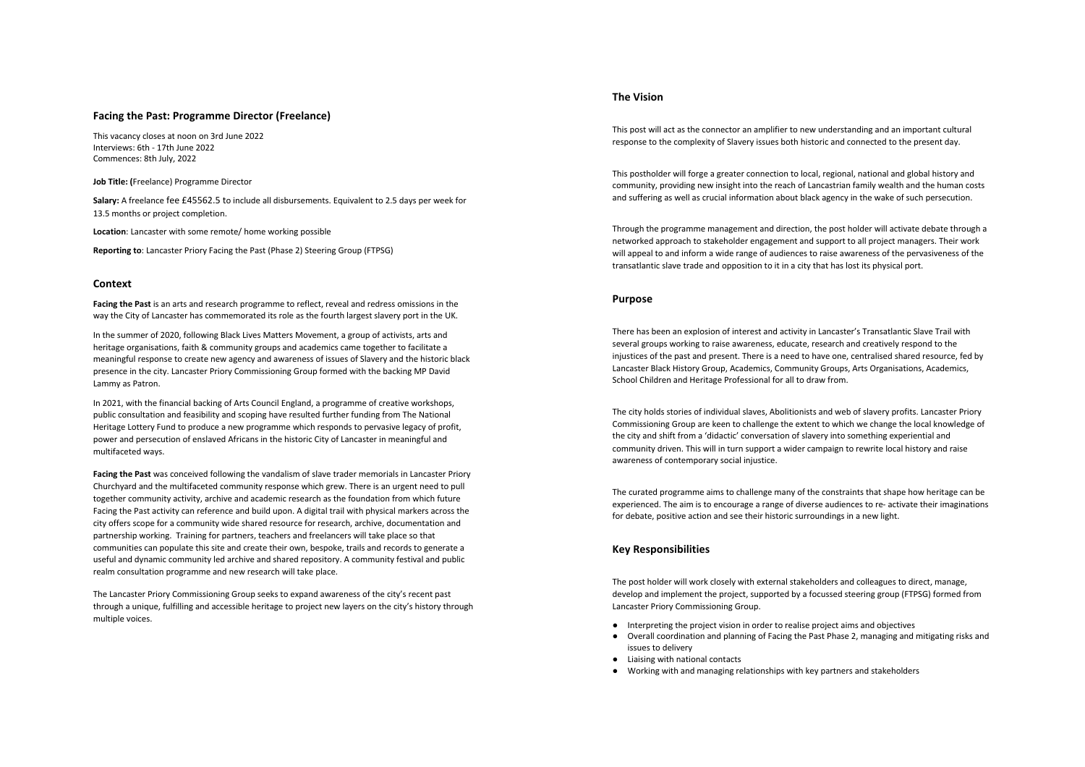# **Facing the Past: Programme Director (Freelance)**

This vacancy closes at noon on 3rd June 2022 Interviews: 6th - 17th June 2022 Commences: 8th July, 2022

**Job Title: (**Freelance) Programme Director

**Salary:** A freelance fee £45562.5 to include all disbursements. Equivalent to 2.5 days per week for 13.5 months or project completion.

**Location**: Lancaster with some remote/ home working possible

**Reporting to**: Lancaster Priory Facing the Past (Phase 2) Steering Group (FTPSG)

### **Context**

**Facing the Past** is an arts and research programme to reflect, reveal and redress omissions in the way the City of Lancaster has commemorated its role as the fourth largest slavery port in the UK.

In the summer of 2020, following Black Lives Matters Movement, a group of activists, arts and heritage organisations, faith & community groups and academics came together to facilitate a meaningful response to create new agency and awareness of issues of Slavery and the historic black presence in the city. Lancaster Priory Commissioning Group formed with the backing MP David Lammy as Patron.

In 2021, with the financial backing of Arts Council England, a programme of creative workshops, public consultation and feasibility and scoping have resulted further funding from The National Heritage Lottery Fund to produce a new programme which responds to pervasive legacy of profit, power and persecution of enslaved Africans in the historic City of Lancaster in meaningful and multifaceted ways.

**Facing the Past** was conceived following the vandalism of slave trader memorials in Lancaster Priory Churchyard and the multifaceted community response which grew. There is an urgent need to pull together community activity, archive and academic research as the foundation from which future Facing the Past activity can reference and build upon. A digital trail with physical markers across the city offers scope for a community wide shared resource for research, archive, documentation and partnership working. Training for partners, teachers and freelancers will take place so that communities can populate this site and create their own, bespoke, trails and records to generate a useful and dynamic community led archive and shared repository. A community festival and public realm consultation programme and new research will take place.

The Lancaster Priory Commissioning Group seeks to expand awareness of the city's recent past through a unique, fulfilling and accessible heritage to project new layers on the city's history through multiple voices.

#### **The Vision**

This post will act as the connector an amplifier to new understanding and an important cultural response to the complexity of Slavery issues both historic and connected to the present day.

This postholder will forge a greater connection to local, regional, national and global history and community, providing new insight into the reach of Lancastrian family wealth and the human costs and suffering as well as crucial information about black agency in the wake of such persecution.

Through the programme management and direction, the post holder will activate debate through a networked approach to stakeholder engagement and support to all project managers. Their work will appeal to and inform a wide range of audiences to raise awareness of the pervasiveness of the transatlantic slave trade and opposition to it in a city that has lost its physical port.

#### **Purpose**

There has been an explosion of interest and activity in Lancaster's Transatlantic Slave Trail with several groups working to raise awareness, educate, research and creatively respond to the injustices of the past and present. There is a need to have one, centralised shared resource, fed by Lancaster Black History Group, Academics, Community Groups, Arts Organisations, Academics, School Children and Heritage Professional for all to draw from.

The city holds stories of individual slaves, Abolitionists and web of slavery profits. Lancaster Priory Commissioning Group are keen to challenge the extent to which we change the local knowledge of the city and shift from a 'didactic' conversation of slavery into something experiential and community driven. This will in turn support a wider campaign to rewrite local history and raise awareness of contemporary social injustice.

The curated programme aims to challenge many of the constraints that shape how heritage can be experienced. The aim is to encourage a range of diverse audiences to re- activate their imaginations for debate, positive action and see their historic surroundings in a new light.

# **Key Responsibilities**

The post holder will work closely with external stakeholders and colleagues to direct, manage, develop and implement the project, supported by a focussed steering group (FTPSG) formed from Lancaster Priory Commissioning Group.

- Interpreting the project vision in order to realise project aims and objectives
- Overall coordination and planning of Facing the Past Phase 2, managing and mitigating risks and issues to delivery
- Liaising with national contacts
- Working with and managing relationships with key partners and stakeholders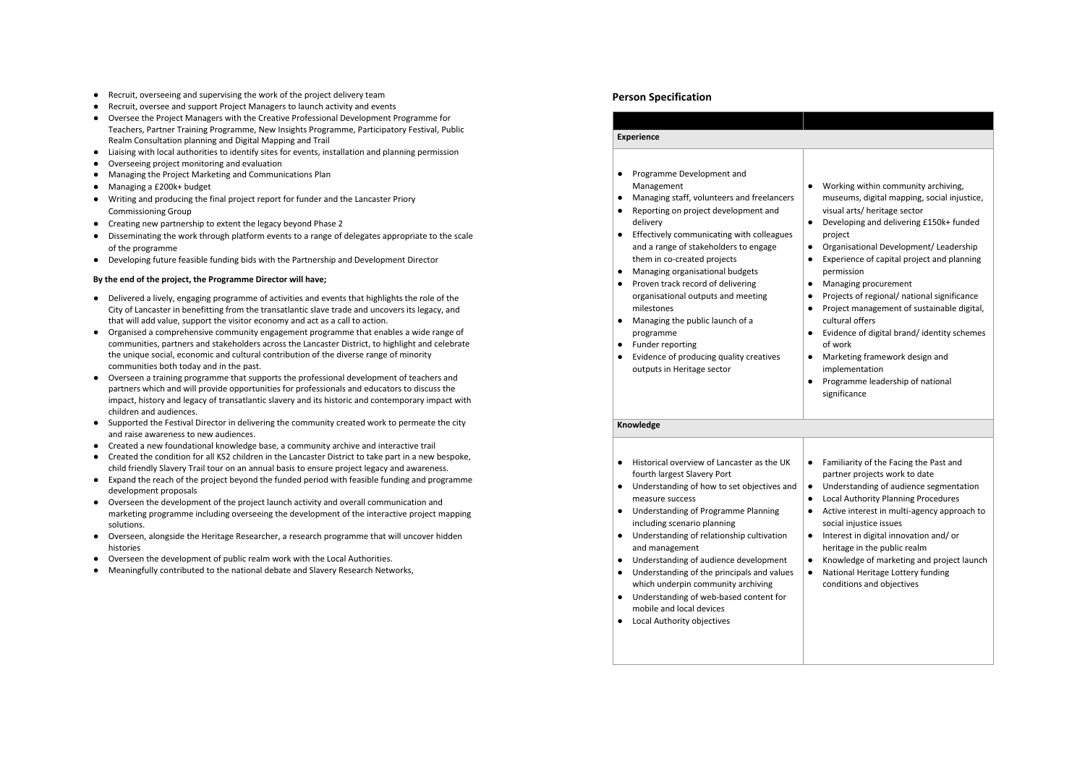- Recruit, overseeing and supervising the work of the project delivery team
- Recruit, oversee and support Project Managers to launch activity and events
- Oversee the Project Managers with the Creative Professional Development Programme for Teachers, Partner Training Programme, New Insights Programme, Participatory Festival, Public Realm Consultation planning and Digital Mapping and Trail
- Liaising with local authorities to identify sites for events, installation and planning permission
- Overseeing project monitoring and evaluation
- Managing the Project Marketing and Communications Plan
- Managing a £200k+ budget
- Writing and producing the final project report for funder and the Lancaster Priory Commissioning Group
- Creating new partnership to extent the legacy beyond Phase 2
- Disseminating the work through platform events to a range of delegates appropriate to the scale of the programme
- Developing future feasible funding bids with the Partnership and Development Director

# **By the end of the project, the Programme Director will have;**

- Delivered a lively, engaging programme of activities and events that highlights the role of the City of Lancaster in benefitting from the transatlantic slave trade and uncovers its legacy, and that will add value, support the visitor economy and act as a call to action.
- Organised a comprehensive community engagement programme that enables a wide range of communities, partners and stakeholders across the Lancaster District, to highlight and celebrate the unique social, economic and cultural contribution of the diverse range of minority communities both today and in the past.
- Overseen a training programme that supports the professional development of teachers and partners which and will provide opportunities for professionals and educators to discuss the impact, history and legacy of transatlantic slavery and its historic and contemporary impact with children and audiences.
- Supported the Festival Director in delivering the community created work to permeate the city and raise awareness to new audiences.
- Created a new foundational knowledge base, a community archive and interactive trail
- Created the condition for all KS2 children in the Lancaster District to take part in a new bespoke, child friendly Slavery Trail tour on an annual basis to ensure project legacy and awareness.
- Expand the reach of the project beyond the funded period with feasible funding and programme development proposals
- Overseen the development of the project launch activity and overall communication and marketing programme including overseeing the development of the interactive project mapping solutions.
- Overseen, alongside the Heritage Researcher, a research programme that will uncover hidden histories
- Overseen the development of public realm work with the Local Authorities.
- Meaningfully contributed to the national debate and Slavery Research Networks,

# **Person Specification**

| <b>Experience</b>                                                                                                                                                                                                                                                                                                                                                                                                                                                                                                                                                                                                                    |                                                                                                                                                                                                                                                                                                                                                                                                                                                                                                                                                                                                                                                                                              |
|--------------------------------------------------------------------------------------------------------------------------------------------------------------------------------------------------------------------------------------------------------------------------------------------------------------------------------------------------------------------------------------------------------------------------------------------------------------------------------------------------------------------------------------------------------------------------------------------------------------------------------------|----------------------------------------------------------------------------------------------------------------------------------------------------------------------------------------------------------------------------------------------------------------------------------------------------------------------------------------------------------------------------------------------------------------------------------------------------------------------------------------------------------------------------------------------------------------------------------------------------------------------------------------------------------------------------------------------|
| Programme Development and<br>$\bullet$<br>Management<br>Managing staff, volunteers and freelancers<br>٠<br>Reporting on project development and<br>٠<br>delivery<br>Effectively communicating with colleagues<br>$\bullet$<br>and a range of stakeholders to engage<br>them in co-created projects<br>Managing organisational budgets<br>٠<br>Proven track record of delivering<br>$\bullet$<br>organisational outputs and meeting<br>milestones<br>Managing the public launch of a<br>$\bullet$<br>programme<br>Funder reporting<br>$\bullet$<br>Evidence of producing quality creatives<br>$\bullet$<br>outputs in Heritage sector | Working within community archiving,<br>museums, digital mapping, social injustice,<br>visual arts/ heritage sector<br>Developing and delivering £150k+ funded<br>$\bullet$<br>project<br>Organisational Development/ Leadership<br>$\bullet$<br>Experience of capital project and planning<br>$\bullet$<br>permission<br>Managing procurement<br>٠<br>Projects of regional/ national significance<br>$\bullet$<br>Project management of sustainable digital,<br>$\bullet$<br>cultural offers<br>Evidence of digital brand/identity schemes<br>$\bullet$<br>of work<br>Marketing framework design and<br>٠<br>implementation<br>Programme leadership of national<br>$\bullet$<br>significance |
| Knowledge                                                                                                                                                                                                                                                                                                                                                                                                                                                                                                                                                                                                                            |                                                                                                                                                                                                                                                                                                                                                                                                                                                                                                                                                                                                                                                                                              |
| Historical overview of Lancaster as the UK<br>$\bullet$<br>fourth largest Slavery Port<br>Understanding of how to set objectives and<br>$\bullet$<br>measure success<br>Understanding of Programme Planning<br>$\bullet$<br>including scenario planning<br>Understanding of relationship cultivation<br>$\bullet$<br>and management<br>Understanding of audience development<br>٠<br>Understanding of the principals and values<br>$\bullet$<br>which underpin community archiving<br>Understanding of web-based content for<br>$\bullet$<br>mobile and local devices<br>Local Authority objectives<br>٠                             | $\bullet$<br>Familiarity of the Facing the Past and<br>partner projects work to date<br>Understanding of audience segmentation<br>$\bullet$<br>Local Authority Planning Procedures<br>$\bullet$<br>Active interest in multi-agency approach to<br>$\bullet$<br>social injustice issues<br>Interest in digital innovation and/or<br>٠<br>heritage in the public realm<br>Knowledge of marketing and project launch<br>٠<br>National Heritage Lottery funding<br>$\bullet$<br>conditions and objectives                                                                                                                                                                                        |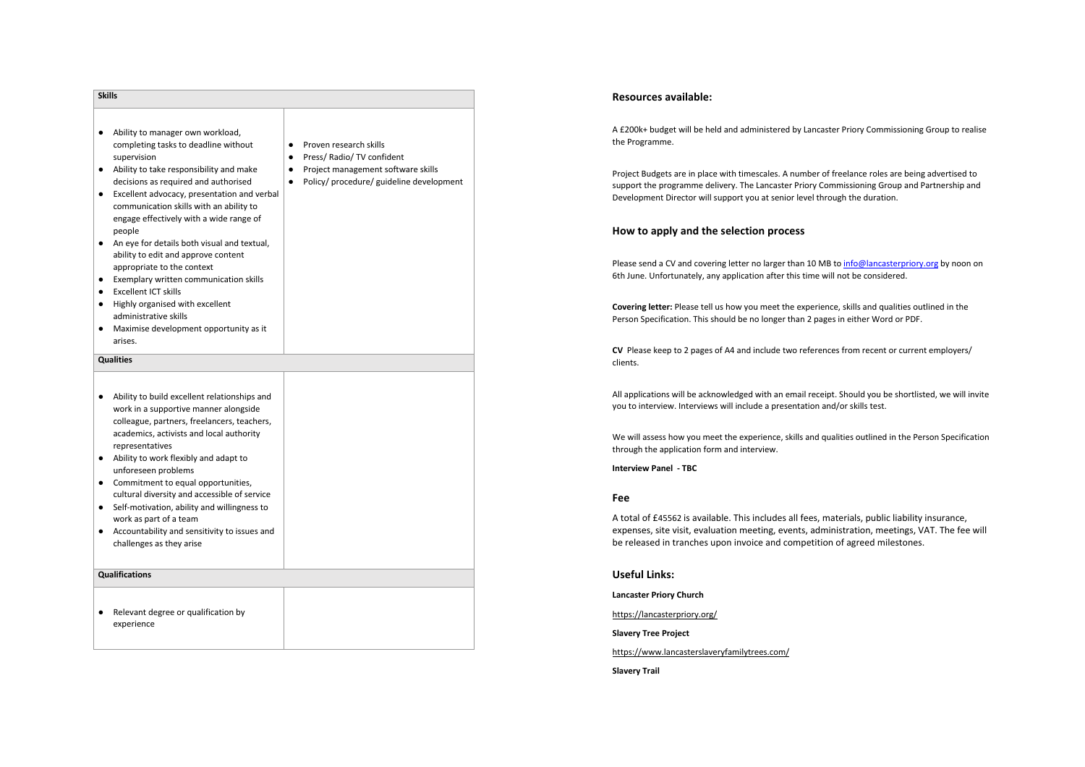| <b>Skills</b>                                                                                                                                                                                                                                                                                                                                                                                                                                                                                                                                                                                                                                          |                                                                                                                                                                       |
|--------------------------------------------------------------------------------------------------------------------------------------------------------------------------------------------------------------------------------------------------------------------------------------------------------------------------------------------------------------------------------------------------------------------------------------------------------------------------------------------------------------------------------------------------------------------------------------------------------------------------------------------------------|-----------------------------------------------------------------------------------------------------------------------------------------------------------------------|
| Ability to manager own workload,<br>٠<br>completing tasks to deadline without<br>supervision<br>Ability to take responsibility and make<br>decisions as required and authorised<br>Excellent advocacy, presentation and verbal<br>٠<br>communication skills with an ability to<br>engage effectively with a wide range of<br>people<br>An eye for details both visual and textual,<br>٠<br>ability to edit and approve content<br>appropriate to the context<br>Exemplary written communication skills<br><b>Excellent ICT skills</b><br>Highly organised with excellent<br>administrative skills<br>Maximise development opportunity as it<br>arises. | Proven research skills<br>$\bullet$<br>Press/ Radio/ TV confident<br>٠<br>Project management software skills<br>Policy/ procedure/ guideline development<br>$\bullet$ |
| <b>Qualities</b>                                                                                                                                                                                                                                                                                                                                                                                                                                                                                                                                                                                                                                       |                                                                                                                                                                       |
| Ability to build excellent relationships and<br>$\bullet$<br>work in a supportive manner alongside<br>colleague, partners, freelancers, teachers,<br>academics, activists and local authority<br>representatives<br>Ability to work flexibly and adapt to<br>unforeseen problems<br>Commitment to equal opportunities,<br>cultural diversity and accessible of service<br>Self-motivation, ability and willingness to<br>٠<br>work as part of a team<br>Accountability and sensitivity to issues and<br>challenges as they arise                                                                                                                       |                                                                                                                                                                       |
| <b>Qualifications</b>                                                                                                                                                                                                                                                                                                                                                                                                                                                                                                                                                                                                                                  |                                                                                                                                                                       |
| Relevant degree or qualification by<br>experience                                                                                                                                                                                                                                                                                                                                                                                                                                                                                                                                                                                                      |                                                                                                                                                                       |

# **Resources available:**

A £200k+ budget will be held and administered by Lancaster Priory Commissioning Group to realise the Programme.

Project Budgets are in place with timescales. A number of freelance roles are being advertised to support the programme delivery. The Lancaster Priory Commissioning Group and Partnership and Development Director will support you at senior level through the duration.

### **How to apply and the selection process**

Please send a CV and covering letter no larger than 10 MB to info@lancasterpriory.org by noon on 6th June. Unfortunately, any application after this time will not be considered.

**Covering letter:** Please tell us how you meet the experience, skills and qualities outlined in the Person Specification. This should be no longer than 2 pages in either Word or PDF.

**CV** Please keep to 2 pages of A4 and include two references from recent or current employers/ clients.

All applications will be acknowledged with an email receipt. Should you be shortlisted, we will invite you to interview. Interviews will include a presentation and/or skills test.

We will assess how you meet the experience, skills and qualities outlined in the Person Specification through the application form and interview.

**Interview Panel - TBC**

# **Fee**

A total of £45562 is available. This includes all fees, materials, public liability insurance, expenses, site visit, evaluation meeting, events, administration, meetings, VAT. The fee will be released in tranches upon invoice and competition of agreed milestones.

**Useful Links:**

**Lancaster Priory Church**

https://lancasterpriory.org/

**Slavery Tree Project**

https://www.lancasterslaveryfamilytrees.com/

**Slavery Trail**